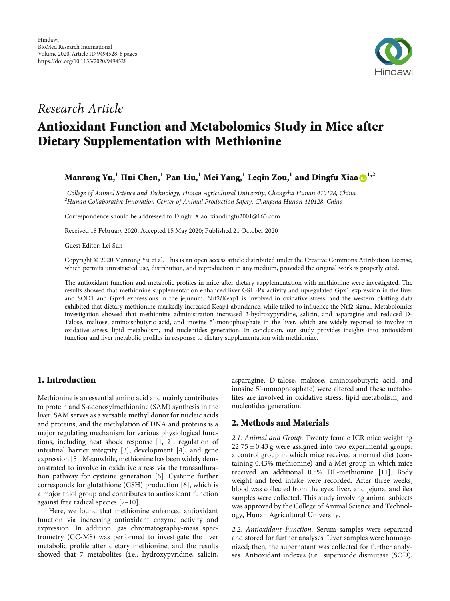

## Research Article

# Antioxidant Function and Metabolomics Study in Mice after Dietary Supplementation with Methionine

### Manrong Yu,**<sup>1</sup>** Hui Chen,**<sup>1</sup>** Pan Liu,**<sup>1</sup>** Mei Yang,**<sup>1</sup>** Leqin Zou,**<sup>1</sup>** and Dingfu Xiao **1,2**

 ${}^{1}$ College of Animal Science and Technology, Hunan Agricultural University, Changsha Hunan 410128, China  $^{2}$ Hunan Collaborative Innovation Center of Animal Production Safety, Changsha Hunan 410128, China

Correspondence should be addressed to Dingfu Xiao; xiaodingfu2001@163.com

Received 18 February 2020; Accepted 15 May 2020; Published 21 October 2020

Guest Editor: Lei Sun

Copyright © 2020 Manrong Yu et al. This is an open access article distributed under the [Creative Commons Attribution License](https://creativecommons.org/licenses/by/4.0/), which permits unrestricted use, distribution, and reproduction in any medium, provided the original work is properly cited.

The antioxidant function and metabolic profiles in mice after dietary supplementation with methionine were investigated. The results showed that methionine supplementation enhanced liver GSH-Px activity and upregulated Gpx1 expression in the liver and SOD1 and Gpx4 expressions in the jejunum. Nrf2/Keap1 is involved in oxidative stress, and the western blotting data exhibited that dietary methionine markedly increased Keap1 abundance, while failed to influence the Nrf2 signal. Metabolomics investigation showed that methionine administration increased 2-hydroxypyridine, salicin, and asparagine and reduced D-Talose, maltose, aminoisobutyric acid, and inosine 5'-monophosphate in the liver, which are widely reported to involve in oxidative stress, lipid metabolism, and nucleotides generation. In conclusion, our study provides insights into antioxidant function and liver metabolic profiles in response to dietary supplementation with methionine.

### 1. Introduction

Methionine is an essential amino acid and mainly contributes to protein and S-adenosylmethionine (SAM) synthesis in the liver. SAM serves as a versatile methyl donor for nucleic acids and proteins, and the methylation of DNA and proteins is a major regulating mechanism for various physiological functions, including heat shock response [\[1, 2\]](#page-4-0), regulation of intestinal barrier integrity [\[3\]](#page-4-0), development [\[4](#page-4-0)], and gene expression [[5](#page-4-0)]. Meanwhile, methionine has been widely demonstrated to involve in oxidative stress via the transsulfuration pathway for cysteine generation [[6\]](#page-4-0). Cysteine further corresponds for glutathione (GSH) production [\[6](#page-4-0)], which is a major thiol group and contributes to antioxidant function against free radical species [[7](#page-4-0)–[10](#page-4-0)].

Here, we found that methionine enhanced antioxidant function via increasing antioxidant enzyme activity and expression. In addition, gas chromatography-mass spectrometry (GC-MS) was performed to investigate the liver metabolic profile after dietary methionine, and the results showed that 7 metabolites (i.e., hydroxypyridine, salicin, asparagine, D-talose, maltose, aminoisobutyric acid, and inosine 5'-monophosphate) were altered and these metabolites are involved in oxidative stress, lipid metabolism, and nucleotides generation.

#### 2. Methods and Materials

2.1. Animal and Group. Twenty female ICR mice weighting 22*:*75 ± 0*:*43 g were assigned into two experimental groups: a control group in which mice received a normal diet (containing 0.43% methionine) and a Met group in which mice received an additional 0.5% DL-methionine [[11](#page-4-0)]. Body weight and feed intake were recorded. After three weeks, blood was collected from the eyes, liver, and jejuna, and ilea samples were collected. This study involving animal subjects was approved by the College of Animal Science and Technology, Hunan Agricultural University.

2.2. Antioxidant Function. Serum samples were separated and stored for further analyses. Liver samples were homogenized; then, the supernatant was collected for further analyses. Antioxidant indexes (i.e., superoxide dismutase (SOD),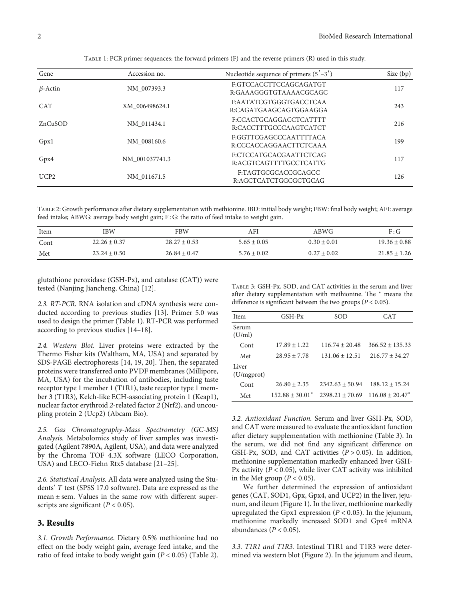| Gene                          | Accession no.  | Nucleotide sequence of primers $(5' - 3')$       | Size $(bp)$ |
|-------------------------------|----------------|--------------------------------------------------|-------------|
| $\beta$ -Actin<br>NM 007393.3 |                | F:GTCCACCTTCCAGCAGATGT<br>R:GAAAGGGTGTAAAACGCAGC | 117         |
| <b>CAT</b>                    | XM 006498624.1 | F:AATATCGTGGGTGACCTCAA<br>R:CAGATGAAGCAGTGGAAGGA | 243         |
| ZnCuSOD                       | NM 011434.1    | F:CCACTGCAGGACCTCATTTT<br>R:CACCTTTGCCCAAGTCATCT | 216         |
| Gpx1                          | NM 008160.6    | E:GGTTCGAGCCCAATTTTACA<br>R:CCCACCAGGAACTTCTCAAA | 199         |
| Gpx4                          | NM 001037741.3 | F:CTCCATGCACGAATTCTCAG<br>R:ACGTCAGTTTTGCCTCATTG | 117         |
| UCP2                          | NM 011671.5    | F:TAGTGCGCACCGCAGCC<br>R:AGCTCATCTGGCGCTGCAG     | 126         |

Table 1: PCR primer sequences: the forward primers (F) and the reverse primers (R) used in this study.

Table 2: Growth performance after dietary supplementation with methionine. IBD: initial body weight; FBW: final body weight; AFI: average feed intake; ABWG: average body weight gain; F : G: the ratio of feed intake to weight gain.

| Item | IBW              | FBW              | AFI             | ABWG          | F:G              |
|------|------------------|------------------|-----------------|---------------|------------------|
| Cont | $22.26 \pm 0.37$ | $28.27 + 0.53$   | $5.65 \pm 0.05$ | $0.30 + 0.01$ | $19.36 \pm 0.88$ |
| Met  | $23.24 \pm 0.50$ | $26.84 \pm 0.47$ | $5.76 \pm 0.02$ | $0.27 + 0.02$ | $21.85 \pm 1.26$ |

glutathione peroxidase (GSH-Px), and catalase (CAT)) were tested (Nanjing Jiancheng, China) [\[12](#page-4-0)].

2.3. RT-PCR. RNA isolation and cDNA synthesis were conducted according to previous studies [\[13\]](#page-4-0). Primer 5.0 was used to design the primer (Table 1). RT-PCR was performed according to previous studies [\[14](#page-4-0)–[18](#page-4-0)].

2.4. Western Blot. Liver proteins were extracted by the Thermo Fisher kits (Waltham, MA, USA) and separated by SDS-PAGE electrophoresis [\[14](#page-4-0), [19, 20](#page-4-0)]. Then, the separated proteins were transferred onto PVDF membranes (Millipore, MA, USA) for the incubation of antibodies, including taste receptor type 1 member 1 (T1R1), taste receptor type 1 member 3 (T1R3), Kelch-like ECH-associating protein 1 (Keap1), nuclear factor erythroid 2-related factor 2 (Nrf2), and uncoupling protein 2 (Ucp2) (Abcam Bio).

2.5. Gas Chromatography-Mass Spectrometry (GC-MS) Analysis. Metabolomics study of liver samples was investigated (Agilent 7890A, Agilent, USA), and data were analyzed by the Chroma TOF 4.3X software (LECO Corporation, USA) and LECO-Fiehn Rtx5 database [\[21](#page-4-0)–[25\]](#page-4-0).

2.6. Statistical Analysis. All data were analyzed using the Students' *T* test (SPSS 17.0 software). Data are expressed as the mean  $\pm$  sem. Values in the same row with different superscripts are significant ( $P < 0.05$ ).

#### 3. Results

3.1. Growth Performance. Dietary 0.5% methionine had no effect on the body weight gain, average feed intake, and the ratio of feed intake to body weight gain (*<sup>P</sup>* < 0*:*05) (Table 2).

Table 3: GSH-Px, SOD, and CAT activities in the serum and liver after dietary supplementation with methionine. The <sup>∗</sup> means the difference is significant between the two groups ( $P < 0.05$ ).

| Item                | $GSH-Px$             | SOD                | CAT                |
|---------------------|----------------------|--------------------|--------------------|
| Serum<br>(U/ml)     |                      |                    |                    |
| Cont                | $17.89 \pm 1.22$     | $116.74 + 20.48$   | $366.52 + 135.33$  |
| Met                 | $28.95 + 7.78$       | $131.06 \pm 12.51$ | $216.77 + 34.27$   |
| Liver<br>(U/mgprot) |                      |                    |                    |
| Cont                | $26.80 + 2.35$       | $2342.63 + 50.94$  | $188.12 + 15.24$   |
| Met                 | $152.88 \pm 30.01^*$ | $2398.21 + 70.69$  | $116.08 + 20.47^*$ |
|                     |                      |                    |                    |

3.2. Antioxidant Function. Serum and liver GSH-Px, SOD, and CAT were measured to evaluate the antioxidant function after dietary supplementation with methionine (Table 3). In the serum, we did not find any significant difference on GSH-Px, SOD, and CAT activities (*<sup>P</sup>* > 0*:*05). In addition, methionine supplementation markedly enhanced liver GSH-Px activity (*<sup>P</sup>* < 0*:*05), while liver CAT activity was inhibited in the Met group ( $P < 0.05$ ).

We further determined the expression of antioxidant genes (CAT, SOD1, Gpx, Gpx4, and UCP2) in the liver, jejunum, and ileum (Figure [1\)](#page-2-0). In the liver, methionine markedly upregulated the Gpx1 expression (*<sup>P</sup>* < 0*:*05). In the jejunum, methionine markedly increased SOD1 and Gpx4 mRNA abundances (*<sup>P</sup>* < 0*:*05).

3.3. T1R1 and T1R3. Intestinal T1R1 and T1R3 were determined via western blot (Figure [2](#page-2-0)). In the jejunum and ileum,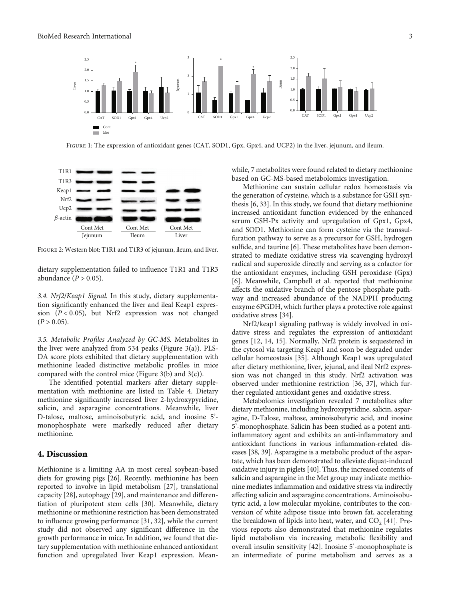<span id="page-2-0"></span>

Figure 1: The expression of antioxidant genes (CAT, SOD1, Gpx, Gpx4, and UCP2) in the liver, jejunum, and ileum.



FIGURE 2: Western blot: T1R1 and T1R3 of jejunum, ileum, and liver.

dietary supplementation failed to influence T1R1 and T1R3 abundance (*<sup>P</sup>* > 0*:*05).

3.4. Nrf2/Keap1 Signal. In this study, dietary supplementation significantly enhanced the liver and ileal Keap1 expression (*<sup>P</sup>* < 0*:*05), but Nrf2 expression was not changed  $(P > 0.05)$ .

3.5. Metabolic Profiles Analyzed by GC-MS. Metabolites in the liver were analyzed from 534 peaks (Figure [3\(a\)\)](#page-3-0). PLS-DA score plots exhibited that dietary supplementation with methionine leaded distinctive metabolic profiles in mice compared with the control mice (Figure [3\(b\)](#page-3-0) and [3\(c\)\)](#page-3-0).

The identified potential markers after dietary supplementation with methionine are listed in Table [4.](#page-3-0) Dietary methionine significantly increased liver 2-hydroxypyridine, salicin, and asparagine concentrations. Meanwhile, liver D-talose, maltose, aminoisobutyric acid, and inosine 5' monophosphate were markedly reduced after dietary methionine.

#### 4. Discussion

Methionine is a limiting AA in most cereal soybean-based diets for growing pigs [[26](#page-5-0)]. Recently, methionine has been reported to involve in lipid metabolism [[27](#page-5-0)], translational capacity [[28\]](#page-5-0), autophagy [\[29\]](#page-5-0), and maintenance and differentiation of pluripotent stem cells [\[30\]](#page-5-0). Meanwhile, dietary methionine or methionine restriction has been demonstrated to influence growing performance [\[31, 32\]](#page-5-0), while the current study did not observed any significant difference in the growth performance in mice. In addition, we found that dietary supplementation with methionine enhanced antioxidant function and upregulated liver Keap1 expression. Meanwhile, 7 metabolites were found related to dietary methionine based on GC-MS-based metabolomics investigation.

Methionine can sustain cellular redox homeostasis via the generation of cysteine, which is a substance for GSH synthesis [\[6,](#page-4-0) [33\]](#page-5-0). In this study, we found that dietary methionine increased antioxidant function evidenced by the enhanced serum GSH-Px activity and upregulation of Gpx1, Gpx4, and SOD1. Methionine can form cysteine via the transsulfuration pathway to serve as a precursor for GSH, hydrogen sulfide, and taurine [[6\]](#page-4-0). These metabolites have been demonstrated to mediate oxidative stress via scavenging hydroxyl radical and superoxide directly and serving as a cofactor for the antioxidant enzymes, including GSH peroxidase (Gpx) [\[6](#page-4-0)]. Meanwhile, Campbell et al. reported that methionine affects the oxidative branch of the pentose phosphate pathway and increased abundance of the NADPH producing enzyme 6PGDH, which further plays a protective role against oxidative stress [[34\]](#page-5-0).

Nrf2/keap1 signaling pathway is widely involved in oxidative stress and regulates the expression of antioxidant genes [[12](#page-4-0), [14](#page-4-0), [15\]](#page-4-0). Normally, Nrf2 protein is sequestered in the cytosol via targeting Keap1 and soon be degraded under cellular homeostasis [[35](#page-5-0)]. Although Keap1 was upregulated after dietary methionine, liver, jejunal, and ileal Nrf2 expression was not changed in this study. Nrf2 activation was observed under methionine restriction [[36](#page-5-0), [37\]](#page-5-0), which further regulated antioxidant genes and oxidative stress.

Metabolomics investigation revealed 7 metabolites after dietary methionine, including hydroxypyridine, salicin, asparagine, D-Talose, maltose, aminoisobutyric acid, and inosine 5'-monophosphate. Salicin has been studied as a potent antiinflammatory agent and exhibits an anti-inflammatory and antioxidant functions in various inflammation-related diseases [\[38, 39\]](#page-5-0). Asparagine is a metabolic product of the aspartate, which has been demonstrated to alleviate diquat-induced oxidative injury in piglets [[40](#page-5-0)]. Thus, the increased contents of salicin and asparagine in the Met group may indicate methionine mediates inflammation and oxidative stress via indirectly affecting salicin and asparagine concentrations. Aminoisobutyric acid, a low molecular myokine, contributes to the conversion of white adipose tissue into brown fat, accelerating the breakdown of lipids into heat, water, and  $CO<sub>2</sub>$  [\[41\]](#page-5-0). Previous reports also demonstrated that methionine regulates lipid metabolism via increasing metabolic flexibility and overall insulin sensitivity [\[42\]](#page-5-0). Inosine 5'-monophosphate is an intermediate of purine metabolism and serves as a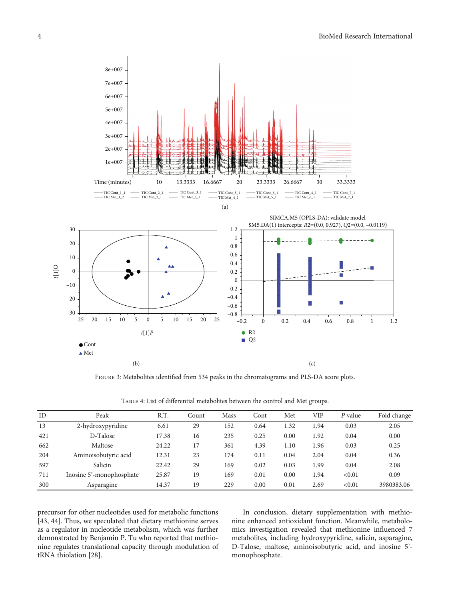<span id="page-3-0"></span>

Figure 3: Metabolites identified from 534 peaks in the chromatograms and PLS-DA score plots.

Table 4: List of differential metabolites between the control and Met groups.

| ID  | Peak                     | R.T.  | Count | Mass | Cont | Met  | VIP  | P value | Fold change |
|-----|--------------------------|-------|-------|------|------|------|------|---------|-------------|
| 13  | 2-hydroxypyridine        | 6.61  | 29    | 152  | 0.64 | 1.32 | 1.94 | 0.03    | 2.05        |
| 421 | D-Talose                 | 17.38 | 16    | 235  | 0.25 | 0.00 | 1.92 | 0.04    | 0.00        |
| 662 | Maltose                  | 24.22 | 17    | 361  | 4.39 | 1.10 | 1.96 | 0.03    | 0.25        |
| 204 | Aminoisobutyric acid     | 12.31 | 23    | 174  | 0.11 | 0.04 | 2.04 | 0.04    | 0.36        |
| 597 | Salicin                  | 22.42 | 29    | 169  | 0.02 | 0.03 | 1.99 | 0.04    | 2.08        |
| 711 | Inosine 5'-monophosphate | 25.87 | 19    | 169  | 0.01 | 0.00 | 1.94 | < 0.01  | 0.09        |
| 300 | Asparagine               | 14.37 | 19    | 229  | 0.00 | 0.01 | 2.69 | < 0.01  | 3980383.06  |

precursor for other nucleotides used for metabolic functions [\[43](#page-5-0), [44\]](#page-5-0). Thus, we speculated that dietary methionine serves as a regulator in nucleotide metabolism, which was further demonstrated by Benjamin P. Tu who reported that methionine regulates translational capacity through modulation of tRNA thiolation [\[28\]](#page-5-0).

In conclusion, dietary supplementation with methionine enhanced antioxidant function. Meanwhile, metabolomics investigation revealed that methionine influenced 7 metabolites, including hydroxypyridine, salicin, asparagine, D-Talose, maltose, aminoisobutyric acid, and inosine 5' monophosphate.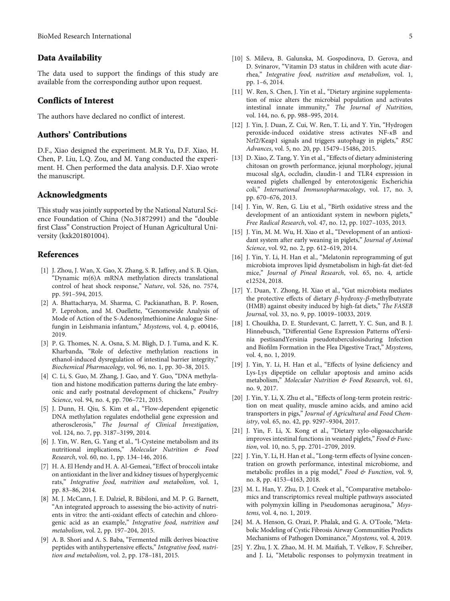#### <span id="page-4-0"></span>Data Availability

The data used to support the findings of this study are available from the corresponding author upon request.

#### Conflicts of Interest

The authors have declared no conflict of interest.

#### Authors' Contributions

D.F., Xiao designed the experiment. M.R Yu, D.F. Xiao, H. Chen, P. Liu, L.Q. Zou, and M. Yang conducted the experiment. H. Chen performed the data analysis. D.F. Xiao wrote the manuscript.

#### Acknowledgments

This study was jointly supported by the National Natural Science Foundation of China (No.31872991) and the "double first Class" Construction Project of Hunan Agricultural University (kxk201801004).

#### References

- [1] J. Zhou, J. Wan, X. Gao, X. Zhang, S. R. Jaffrey, and S. B. Qian, "Dynamic m(6)A mRNA methylation directs translational control of heat shock response," Nature, vol. 526, no. 7574, pp. 591–594, 2015.
- [2] A. Bhattacharya, M. Sharma, C. Packianathan, B. P. Rosen, P. Leprohon, and M. Ouellette, "Genomewide Analysis of Mode of Action of the S-Adenosylmethionine Analogue Sinefungin in Leishmania infantum," Msystems, vol. 4, p. e00416, 2019.
- [3] P. G. Thomes, N. A. Osna, S. M. Bligh, D. J. Tuma, and K. K. Kharbanda, "Role of defective methylation reactions in ethanol-induced dysregulation of intestinal barrier integrity," Biochemical Pharmacology, vol. 96, no. 1, pp. 30–38, 2015.
- [4] C. Li, S. Guo, M. Zhang, J. Gao, and Y. Guo, "DNA methylation and histone modification patterns during the late embryonic and early postnatal development of chickens," Poultry Science, vol. 94, no. 4, pp. 706-721, 2015.
- [5] J. Dunn, H. Qiu, S. Kim et al., "Flow-dependent epigenetic DNA methylation regulates endothelial gene expression and atherosclerosis," The Journal of Clinical Investigation, vol. 124, no. 7, pp. 3187–3199, 2014.
- [6] J. Yin, W. Ren, G. Yang et al., "l-Cysteine metabolism and its nutritional implications," Molecular Nutrition & Food Research, vol. 60, no. 1, pp. 134–146, 2016.
- [7] H. A. El Hendy and H. A. Al-Gemeai, "Effect of broccoli intake on antioxidant in the liver and kidney tissues of hyperglycemic rats," Integrative food, nutrition and metabolism, vol. 1, pp. 83–86, 2014.
- [8] M. J. McCann, J. E. Dalziel, R. Bibiloni, and M. P. G. Barnett, "An integrated approach to assessing the bio-activity of nutrients in vitro: the anti-oxidant effects of catechin and chlorogenic acid as an example," Integrative food, nutrition and metabolism, vol. 2, pp. 197–204, 2015.
- [9] A. B. Shori and A. S. Baba, "Fermented milk derives bioactive peptides with antihypertensive effects," Integrative food, nutrition and metabolism, vol. 2, pp. 178–181, 2015.
- [10] S. Mileva, B. Galunska, M. Gospodinova, D. Gerova, and D. Svinarov, "Vitamin D3 status in children with acute diarrhea," Integrative food, nutrition and metabolism, vol. 1,
- [11] W. Ren, S. Chen, J. Yin et al., "Dietary arginine supplementation of mice alters the microbial population and activates intestinal innate immunity," The Journal of Nutrition, vol. 144, no. 6, pp. 988–995, 2014.

pp. 1–6, 2014.

- [12] J. Yin, J. Duan, Z. Cui, W. Ren, T. Li, and Y. Yin, "Hydrogen peroxide-induced oxidative stress activates NF-*κ*B and Nrf2/Keap1 signals and triggers autophagy in piglets," RSC Advances, vol. 5, no. 20, pp. 15479–15486, 2015.
- [13] D. Xiao, Z. Tang, Y. Yin et al., "Effects of dietary administering chitosan on growth performance, jejunal morphology, jejunal mucosal sIgA, occludin, claudin-1 and TLR4 expression in weaned piglets challenged by enterotoxigenic Escherichia coli," International Immunopharmacology, vol. 17, no. 3, pp. 670–676, 2013.
- [14] J. Yin, W. Ren, G. Liu et al., "Birth oxidative stress and the development of an antioxidant system in newborn piglets," Free Radical Research, vol. 47, no. 12, pp. 1027–1035, 2013.
- [15] J. Yin, M. M. Wu, H. Xiao et al., "Development of an antioxidant system after early weaning in piglets," Journal of Animal Science, vol. 92, no. 2, pp. 612–619, 2014.
- [16] J. Yin, Y. Li, H. Han et al., "Melatonin reprogramming of gut microbiota improves lipid dysmetabolism in high-fat diet-fed mice," Journal of Pineal Research, vol. 65, no. 4, article e12524, 2018.
- [17] Y. Duan, Y. Zhong, H. Xiao et al., "Gut microbiota mediates the protective effects of dietary *β*‐hydroxy‐*β*‐methylbutyrate (HMB) against obesity induced by high-fat diets," The FASEB Journal, vol. 33, no. 9, pp. 10019–10033, 2019.
- [18] I. Chouikha, D. E. Sturdevant, C. Jarrett, Y. C. Sun, and B. J. Hinnebusch, "Differential Gene Expression Patterns ofYersinia pestisandYersinia pseudotuberculosisduring Infection and Biofilm Formation in the Flea Digestive Tract," Msystems, vol. 4, no. 1, 2019.
- [19] J. Yin, Y. Li, H. Han et al., "Effects of lysine deficiency and Lys-Lys dipeptide on cellular apoptosis and amino acids metabolism," Molecular Nutrition & Food Research, vol. 61, no. 9, 2017.
- [20] J. Yin, Y. Li, X. Zhu et al., "Effects of long-term protein restriction on meat quality, muscle amino acids, and amino acid transporters in pigs," Journal of Agricultural and Food Chemistry, vol. 65, no. 42, pp. 9297–9304, 2017.
- [21] J. Yin, F. Li, X. Kong et al., "Dietary xylo-oligosaccharide improves intestinal functions in weaned piglets," Food & Function, vol. 10, no. 5, pp. 2701–2709, 2019.
- [22] J. Yin, Y. Li, H. Han et al., "Long-term effects of lysine concentration on growth performance, intestinal microbiome, and metabolic profiles in a pig model," Food & Function, vol. 9, no. 8, pp. 4153–4163, 2018.
- [23] M. L. Han, Y. Zhu, D. J. Creek et al., "Comparative metabolomics and transcriptomics reveal multiple pathways associated with polymyxin killing in Pseudomonas aeruginosa," Msystems, vol. 4, no. 1, 2019.
- [24] M. A. Henson, G. Orazi, P. Phalak, and G. A. O'Toole, "Metabolic Modeling of Cystic Fibrosis Airway Communities Predicts Mechanisms of Pathogen Dominance," Msystems, vol. 4, 2019.
- [25] Y. Zhu, J. X. Zhao, M. H. M. Maifiah, T. Velkov, F. Schreiber, and J. Li, "Metabolic responses to polymyxin treatment in